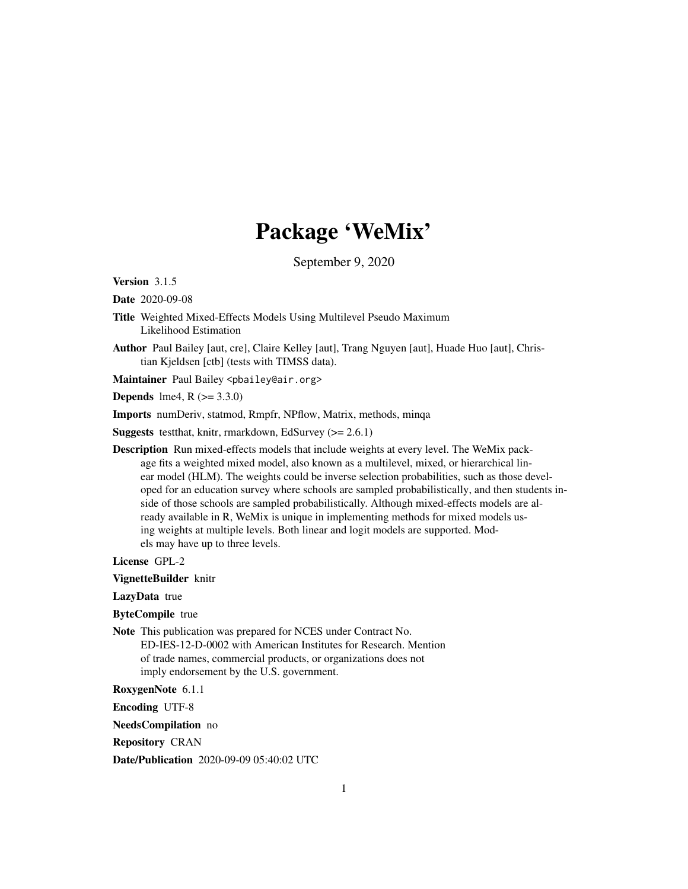## Package 'WeMix'

September 9, 2020

Version 3.1.5

Date 2020-09-08

- Title Weighted Mixed-Effects Models Using Multilevel Pseudo Maximum Likelihood Estimation
- Author Paul Bailey [aut, cre], Claire Kelley [aut], Trang Nguyen [aut], Huade Huo [aut], Christian Kjeldsen [ctb] (tests with TIMSS data).

Maintainer Paul Bailey <pbailey@air.org>

**Depends** lme4,  $R$  ( $>= 3.3.0$ )

Imports numDeriv, statmod, Rmpfr, NPflow, Matrix, methods, minqa

**Suggests** testthat, knitr, rmarkdown, EdSurvey  $(>= 2.6.1)$ 

Description Run mixed-effects models that include weights at every level. The WeMix package fits a weighted mixed model, also known as a multilevel, mixed, or hierarchical linear model (HLM). The weights could be inverse selection probabilities, such as those developed for an education survey where schools are sampled probabilistically, and then students inside of those schools are sampled probabilistically. Although mixed-effects models are already available in R, WeMix is unique in implementing methods for mixed models using weights at multiple levels. Both linear and logit models are supported. Models may have up to three levels.

License GPL-2

VignetteBuilder knitr

LazyData true

ByteCompile true

```
Note This publication was prepared for NCES under Contract No.
     ED-IES-12-D-0002 with American Institutes for Research. Mention
```
of trade names, commercial products, or organizations does not imply endorsement by the U.S. government.

RoxygenNote 6.1.1

Encoding UTF-8

NeedsCompilation no

Repository CRAN

Date/Publication 2020-09-09 05:40:02 UTC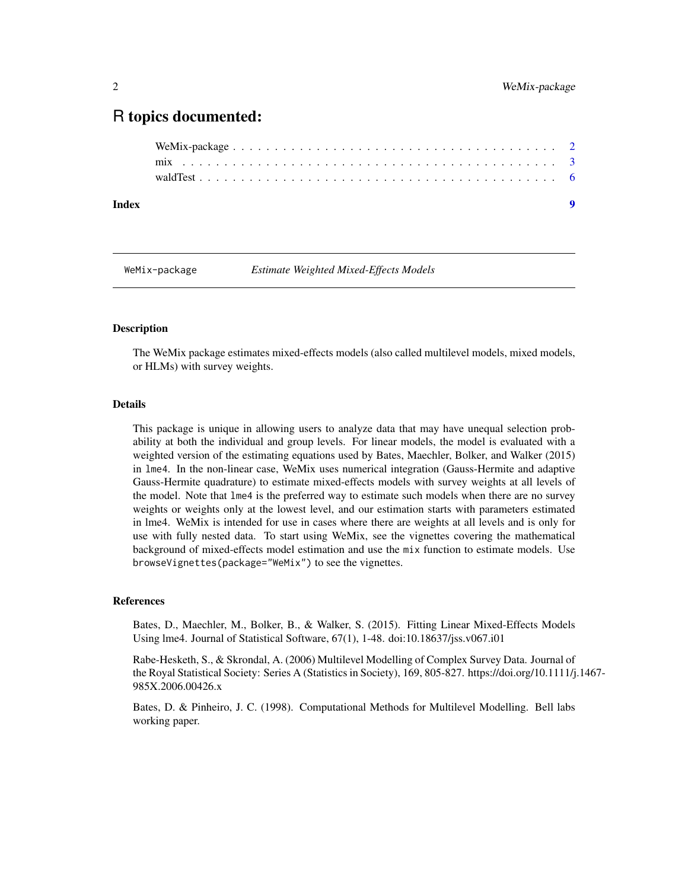### <span id="page-1-0"></span>R topics documented:

| Index |  |
|-------|--|
|       |  |
|       |  |
|       |  |

WeMix-package *Estimate Weighted Mixed-Effects Models*

#### **Description**

The WeMix package estimates mixed-effects models (also called multilevel models, mixed models, or HLMs) with survey weights.

#### Details

This package is unique in allowing users to analyze data that may have unequal selection probability at both the individual and group levels. For linear models, the model is evaluated with a weighted version of the estimating equations used by Bates, Maechler, Bolker, and Walker (2015) in lme4. In the non-linear case, WeMix uses numerical integration (Gauss-Hermite and adaptive Gauss-Hermite quadrature) to estimate mixed-effects models with survey weights at all levels of the model. Note that lme4 is the preferred way to estimate such models when there are no survey weights or weights only at the lowest level, and our estimation starts with parameters estimated in lme4. WeMix is intended for use in cases where there are weights at all levels and is only for use with fully nested data. To start using WeMix, see the vignettes covering the mathematical background of mixed-effects model estimation and use the mix function to estimate models. Use browseVignettes(package="WeMix") to see the vignettes.

#### References

Bates, D., Maechler, M., Bolker, B., & Walker, S. (2015). Fitting Linear Mixed-Effects Models Using lme4. Journal of Statistical Software, 67(1), 1-48. doi:10.18637/jss.v067.i01

Rabe-Hesketh, S., & Skrondal, A. (2006) Multilevel Modelling of Complex Survey Data. Journal of the Royal Statistical Society: Series A (Statistics in Society), 169, 805-827. https://doi.org/10.1111/j.1467- 985X.2006.00426.x

Bates, D. & Pinheiro, J. C. (1998). Computational Methods for Multilevel Modelling. Bell labs working paper.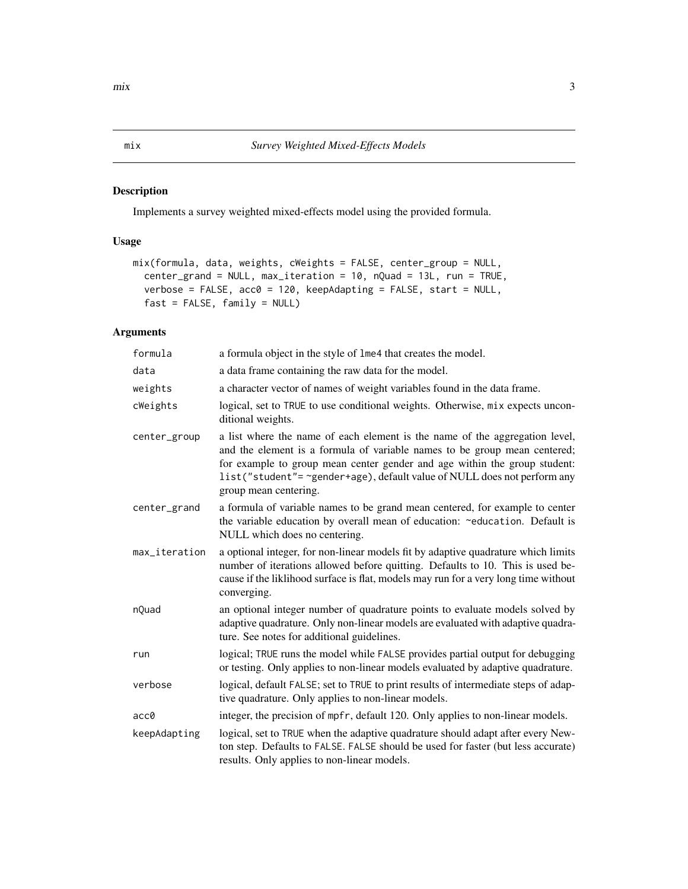#### <span id="page-2-1"></span><span id="page-2-0"></span>Description

Implements a survey weighted mixed-effects model using the provided formula.

#### Usage

```
mix(formula, data, weights, cWeights = FALSE, center_group = NULL,
 center_grand = NULL, max_iteration = 10, nQuad = 13L, run = TRUE,
 verbose = FALSE, acc0 = 120, keepAdapting = FALSE, start = NULL,
  fast = FALSE, family = NULL)
```
#### Arguments

| formula       | a formula object in the style of 1me4 that creates the model.                                                                                                                                                                                                                                                                              |
|---------------|--------------------------------------------------------------------------------------------------------------------------------------------------------------------------------------------------------------------------------------------------------------------------------------------------------------------------------------------|
| data          | a data frame containing the raw data for the model.                                                                                                                                                                                                                                                                                        |
| weights       | a character vector of names of weight variables found in the data frame.                                                                                                                                                                                                                                                                   |
| cWeights      | logical, set to TRUE to use conditional weights. Otherwise, mix expects uncon-<br>ditional weights.                                                                                                                                                                                                                                        |
| center_group  | a list where the name of each element is the name of the aggregation level,<br>and the element is a formula of variable names to be group mean centered;<br>for example to group mean center gender and age within the group student:<br>list("student"= ~gender+age), default value of NULL does not perform any<br>group mean centering. |
| center_grand  | a formula of variable names to be grand mean centered, for example to center<br>the variable education by overall mean of education: ~education. Default is<br>NULL which does no centering.                                                                                                                                               |
| max_iteration | a optional integer, for non-linear models fit by adaptive quadrature which limits<br>number of iterations allowed before quitting. Defaults to 10. This is used be-<br>cause if the liklihood surface is flat, models may run for a very long time without<br>converging.                                                                  |
| nQuad         | an optional integer number of quadrature points to evaluate models solved by<br>adaptive quadrature. Only non-linear models are evaluated with adaptive quadra-<br>ture. See notes for additional guidelines.                                                                                                                              |
| run           | logical; TRUE runs the model while FALSE provides partial output for debugging<br>or testing. Only applies to non-linear models evaluated by adaptive quadrature.                                                                                                                                                                          |
| verbose       | logical, default FALSE; set to TRUE to print results of intermediate steps of adap-<br>tive quadrature. Only applies to non-linear models.                                                                                                                                                                                                 |
| acc0          | integer, the precision of mpfr, default 120. Only applies to non-linear models.                                                                                                                                                                                                                                                            |
| keepAdapting  | logical, set to TRUE when the adaptive quadrature should adapt after every New-<br>ton step. Defaults to FALSE. FALSE should be used for faster (but less accurate)<br>results. Only applies to non-linear models.                                                                                                                         |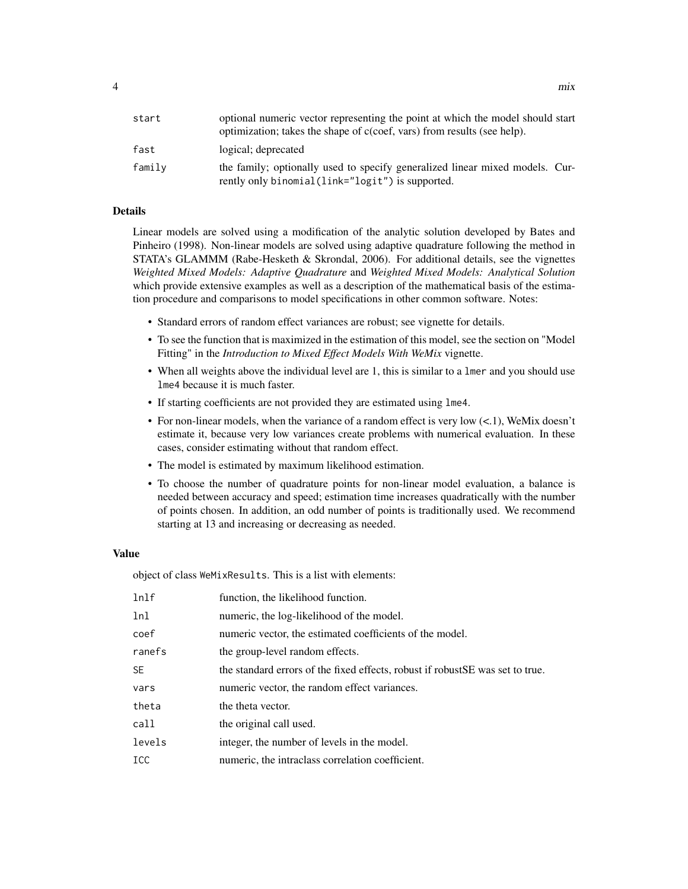| start  | optional numeric vector representing the point at which the model should start<br>optimization; takes the shape of c(coef, vars) from results (see help). |
|--------|-----------------------------------------------------------------------------------------------------------------------------------------------------------|
| fast   | logical; deprecated                                                                                                                                       |
| family | the family; optionally used to specify generalized linear mixed models. Cur-<br>rently only binomial(link="logit") is supported.                          |

#### Details

Linear models are solved using a modification of the analytic solution developed by Bates and Pinheiro (1998). Non-linear models are solved using adaptive quadrature following the method in STATA's GLAMMM (Rabe-Hesketh & Skrondal, 2006). For additional details, see the vignettes *Weighted Mixed Models: Adaptive Quadrature* and *Weighted Mixed Models: Analytical Solution* which provide extensive examples as well as a description of the mathematical basis of the estimation procedure and comparisons to model specifications in other common software. Notes:

- Standard errors of random effect variances are robust; see vignette for details.
- To see the function that is maximized in the estimation of this model, see the section on "Model Fitting" in the *Introduction to Mixed Effect Models With WeMix* vignette.
- When all weights above the individual level are 1, this is similar to a lmer and you should use lme4 because it is much faster.
- If starting coefficients are not provided they are estimated using lme4.
- For non-linear models, when the variance of a random effect is very low  $(<1)$ , WeMix doesn't estimate it, because very low variances create problems with numerical evaluation. In these cases, consider estimating without that random effect.
- The model is estimated by maximum likelihood estimation.
- To choose the number of quadrature points for non-linear model evaluation, a balance is needed between accuracy and speed; estimation time increases quadratically with the number of points chosen. In addition, an odd number of points is traditionally used. We recommend starting at 13 and increasing or decreasing as needed.

#### Value

object of class WeMixResults. This is a list with elements:

| lnlf       | function, the likelihood function.                                             |
|------------|--------------------------------------------------------------------------------|
| lnl        | numeric, the log-likelihood of the model.                                      |
| coef       | numeric vector, the estimated coefficients of the model.                       |
| ranefs     | the group-level random effects.                                                |
| <b>SE</b>  | the standard errors of the fixed effects, robust if robust SE was set to true. |
| vars       | numeric vector, the random effect variances.                                   |
| theta      | the theta vector.                                                              |
| call       | the original call used.                                                        |
| levels     | integer, the number of levels in the model.                                    |
| <b>ICC</b> | numeric, the intraclass correlation coefficient.                               |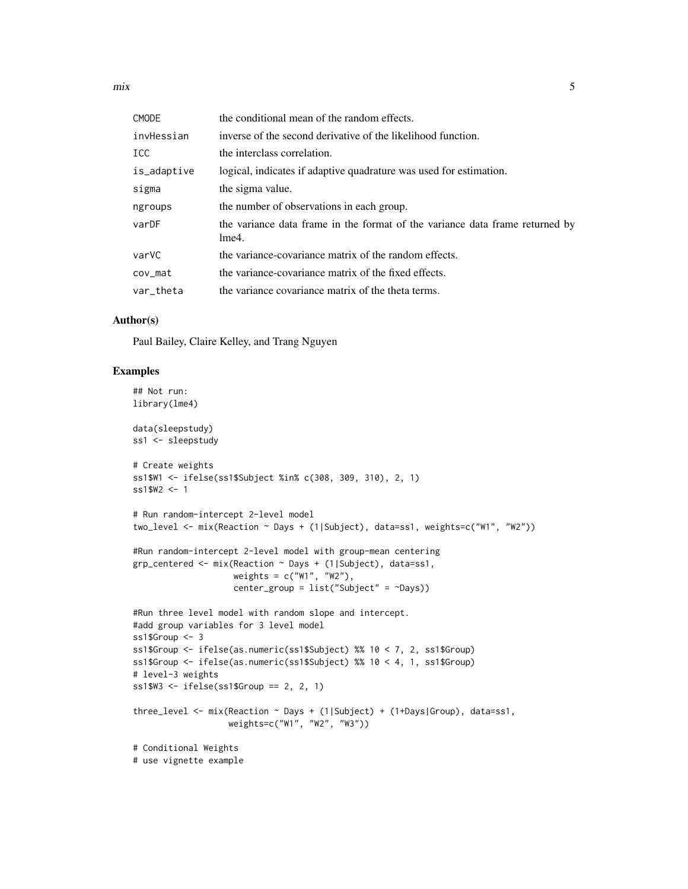$\frac{1}{5}$ 

| <b>CMODE</b> | the conditional mean of the random effects.                                           |
|--------------|---------------------------------------------------------------------------------------|
| invHessian   | inverse of the second derivative of the likelihood function.                          |
| ICC          | the interclass correlation.                                                           |
| is_adaptive  | logical, indicates if adaptive quadrature was used for estimation.                    |
| sigma        | the sigma value.                                                                      |
| ngroups      | the number of observations in each group.                                             |
| varDF        | the variance data frame in the format of the variance data frame returned by<br>lme4. |
| varVC        | the variance-covariance matrix of the random effects.                                 |
| cov_mat      | the variance-covariance matrix of the fixed effects.                                  |
| var_theta    | the variance covariance matrix of the theta terms.                                    |

#### Author(s)

Paul Bailey, Claire Kelley, and Trang Nguyen

#### Examples

```
## Not run:
library(lme4)
data(sleepstudy)
ss1 <- sleepstudy
# Create weights
ss1$W1 <- ifelse(ss1$Subject %in% c(308, 309, 310), 2, 1)
ss1$W2 <- 1
# Run random-intercept 2-level model
two_level <- mix(Reaction ~ Days + (1|Subject), data=ss1, weights=c("W1", "W2"))
#Run random-intercept 2-level model with group-mean centering
grp_centered <- mix(Reaction ~ Days + (1|Subject), data=ss1,
                   weights = c("W1", "W2"),
                    center_group = list("Subject" = ~Days))
#Run three level model with random slope and intercept.
#add group variables for 3 level model
ss1$Group <- 3
ss1$Group <- ifelse(as.numeric(ss1$Subject) %% 10 < 7, 2, ss1$Group)
ss1$Group <- ifelse(as.numeric(ss1$Subject) %% 10 < 4, 1, ss1$Group)
# level-3 weights
ss1$W3 <- ifelse(ss1$Group == 2, 2, 1)
three_level <- mix(Reaction ~ Days + (1|Subject) + (1+Days|Group), data=ss1,
                   weights=c("W1", "W2", "W3"))
# Conditional Weights
# use vignette example
```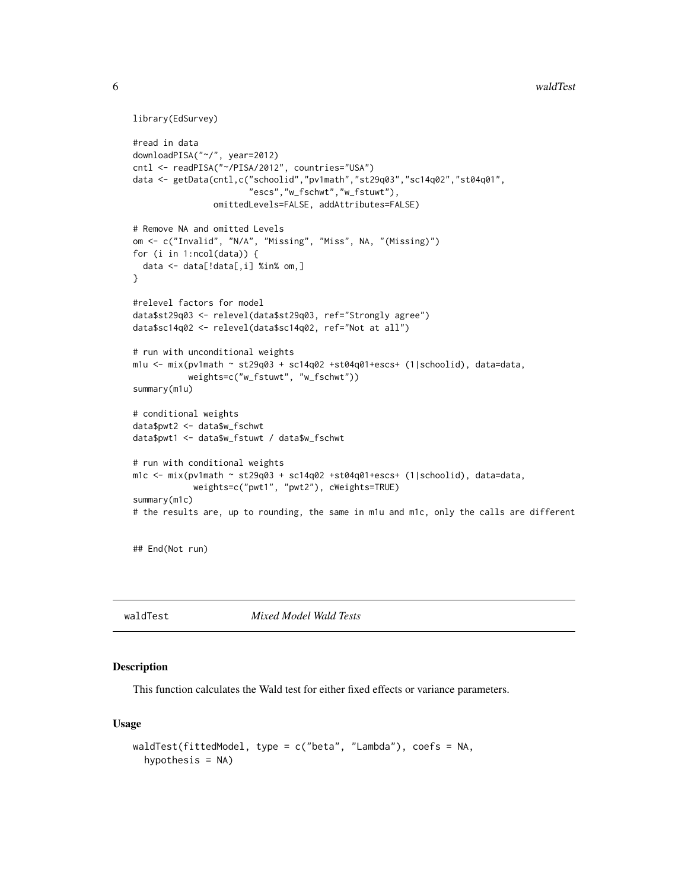```
library(EdSurvey)
#read in data
downloadPISA("~/", year=2012)
cntl <- readPISA("~/PISA/2012", countries="USA")
data <- getData(cntl,c("schoolid","pv1math","st29q03","sc14q02","st04q01",
                       "escs","w_fschwt","w_fstuwt"),
                omittedLevels=FALSE, addAttributes=FALSE)
# Remove NA and omitted Levels
om <- c("Invalid", "N/A", "Missing", "Miss", NA, "(Missing)")
for (i in 1:ncol(data)) {
  data <- data[!data[,i] %in% om,]
}
#relevel factors for model
data$st29q03 <- relevel(data$st29q03, ref="Strongly agree")
data$sc14q02 <- relevel(data$sc14q02, ref="Not at all")
# run with unconditional weights
m1u <- mix(pv1math ~ st29q03 + sc14q02 +st04q01+escs+ (1|schoolid), data=data,
           weights=c("w_fstuwt", "w_fschwt"))
summary(m1u)
# conditional weights
data$pwt2 <- data$w_fschwt
data$pwt1 <- data$w_fstuwt / data$w_fschwt
# run with conditional weights
m1c <- mix(pv1math ~ st29q03 + sc14q02 +st04q01+escs+ (1|schoolid), data=data,
            weights=c("pwt1", "pwt2"), cWeights=TRUE)
summary(m1c)
# the results are, up to rounding, the same in m1u and m1c, only the calls are different
```
## End(Not run)

waldTest *Mixed Model Wald Tests*

#### Description

This function calculates the Wald test for either fixed effects or variance parameters.

#### Usage

```
waldTest(fittedModel, type = c("beta", "Lambda"), coefs = NA,
 hypothesis = NA)
```
<span id="page-5-0"></span>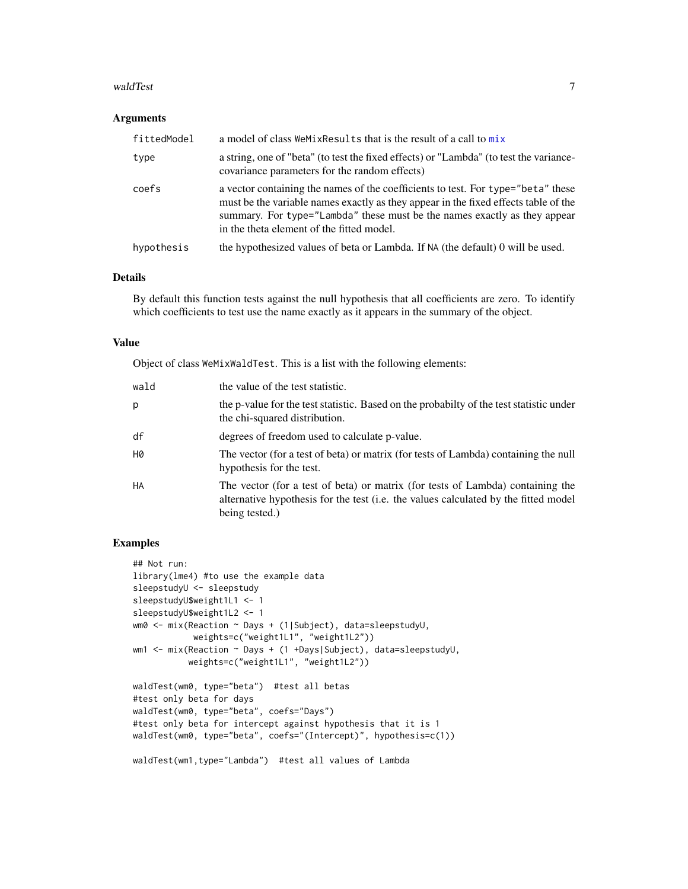#### <span id="page-6-0"></span>waldTest 7 and 7 and 7 and 7 and 7 and 7 and 7 and 7 and 7 and 7 and 7 and 7 and 7 and 7 and 7 and 7 and 7 and 7 and 7 and 7 and 7 and 7 and 7 and 7 and 7 and 7 and 7 and 7 and 7 and 7 and 7 and 7 and 7 and 7 and 7 and 7 a

#### Arguments

| fittedModel | a model of class WeMixResults that is the result of a call to mix                                                                                                                                                                                                                                 |
|-------------|---------------------------------------------------------------------------------------------------------------------------------------------------------------------------------------------------------------------------------------------------------------------------------------------------|
| type        | a string, one of "beta" (to test the fixed effects) or "Lambda" (to test the variance-<br>covariance parameters for the random effects)                                                                                                                                                           |
| coefs       | a vector containing the names of the coefficients to test. For type="beta" these<br>must be the variable names exactly as they appear in the fixed effects table of the<br>summary. For type="Lambda" these must be the names exactly as they appear<br>in the theta element of the fitted model. |
| hypothesis  | the hypothesized values of beta or Lambda. If NA (the default) 0 will be used.                                                                                                                                                                                                                    |

#### Details

By default this function tests against the null hypothesis that all coefficients are zero. To identify which coefficients to test use the name exactly as it appears in the summary of the object.

#### Value

Object of class WeMixWaldTest. This is a list with the following elements:

| wald | the value of the test statistic.                                                                                                                                                        |
|------|-----------------------------------------------------------------------------------------------------------------------------------------------------------------------------------------|
| р    | the p-value for the test statistic. Based on the probabilty of the test statistic under<br>the chi-squared distribution.                                                                |
| df   | degrees of freedom used to calculate p-value.                                                                                                                                           |
| Н0   | The vector (for a test of beta) or matrix (for tests of Lambda) containing the null<br>hypothesis for the test.                                                                         |
| HA   | The vector (for a test of beta) or matrix (for tests of Lambda) containing the<br>alternative hypothesis for the test (i.e. the values calculated by the fitted model<br>being tested.) |

#### Examples

```
## Not run:
library(lme4) #to use the example data
sleepstudyU <- sleepstudy
sleepstudyU$weight1L1 <- 1
sleepstudyU$weight1L2 <- 1
wm0 <- mix(Reaction ~ Days + (1|Subject), data=sleepstudyU,
           weights=c("weight1L1", "weight1L2"))
wm1 <- mix(Reaction ~ Days + (1 +Days|Subject), data=sleepstudyU,
          weights=c("weight1L1", "weight1L2"))
waldTest(wm0, type="beta") #test all betas
#test only beta for days
waldTest(wm0, type="beta", coefs="Days")
#test only beta for intercept against hypothesis that it is 1
waldTest(wm0, type="beta", coefs="(Intercept)", hypothesis=c(1))
waldTest(wm1,type="Lambda") #test all values of Lambda
```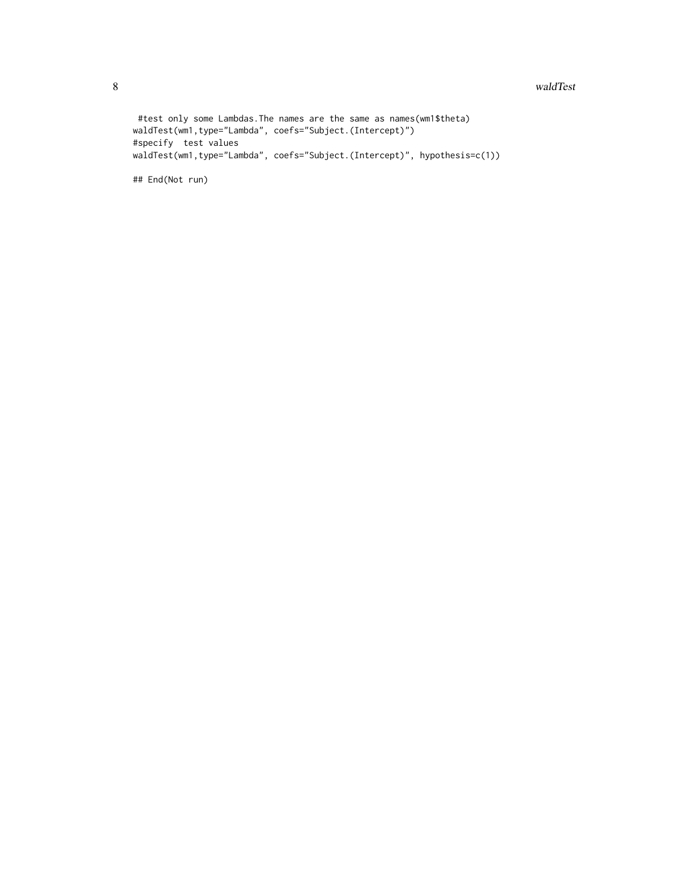#### 8 waldTest

```
#test only some Lambdas.The names are the same as names(wm1$theta)
waldTest(wm1,type="Lambda", coefs="Subject.(Intercept)")
#specify test values
waldTest(wm1,type="Lambda", coefs="Subject.(Intercept)", hypothesis=c(1))
```
## End(Not run)